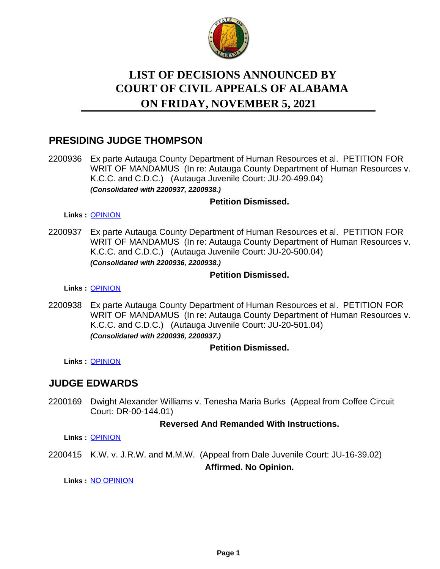

# **LIST OF DECISIONS ANNOUNCED BY ON FRIDAY, NOVEMBER 5, 2021 COURT OF CIVIL APPEALS OF ALABAMA**

# **PRESIDING JUDGE THOMPSON**

2200936 Ex parte Autauga County Department of Human Resources et al. PETITION FOR WRIT OF MANDAMUS (In re: Autauga County Department of Human Resources v. K.C.C. and C.D.C.) (Autauga Juvenile Court: JU-20-499.04) *(Consolidated with 2200937, 2200938.)*

## **Petition Dismissed.**

#### **Links :** [OPINION](https://acis.alabama.gov/displaydocs.cfm?no=1106242&event=66O0JROAO)

2200937 Ex parte Autauga County Department of Human Resources et al. PETITION FOR WRIT OF MANDAMUS (In re: Autauga County Department of Human Resources v. K.C.C. and C.D.C.) (Autauga Juvenile Court: JU-20-500.04) *(Consolidated with 2200936, 2200938.)*

## **Petition Dismissed.**

**Links :** [OPINION](https://acis.alabama.gov/displaydocs.cfm?no=1106242&event=66O0JROAO)

2200938 Ex parte Autauga County Department of Human Resources et al. PETITION FOR WRIT OF MANDAMUS (In re: Autauga County Department of Human Resources v. K.C.C. and C.D.C.) (Autauga Juvenile Court: JU-20-501.04) *(Consolidated with 2200936, 2200937.)*

## **Petition Dismissed.**

**Links :** [OPINION](https://acis.alabama.gov/displaydocs.cfm?no=1106242&event=66O0JROAO)

## **JUDGE EDWARDS**

2200169 Dwight Alexander Williams v. Tenesha Maria Burks (Appeal from Coffee Circuit Court: DR-00-144.01)

## **Reversed And Remanded With Instructions.**

**Links :** [OPINION](https://acis.alabama.gov/displaydocs.cfm?no=1106240&event=66O0JRO51)

2200415 K.W. v. J.R.W. and M.M.W. (Appeal from Dale Juvenile Court: JU-16-39.02)

**Affirmed. No Opinion.**

**Links :** [NO OPINION](https://acis.alabama.gov/displaydocs.cfm?no=1106244&event=66O0JRORD)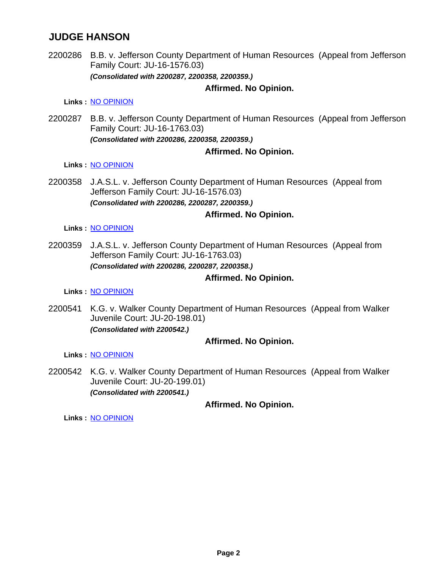# **JUDGE HANSON**

2200286 B.B. v. Jefferson County Department of Human Resources (Appeal from Jefferson Family Court: JU-16-1576.03) *(Consolidated with 2200287, 2200358, 2200359.)*

#### **Affirmed. No Opinion.**

**Links :** [NO OPINION](https://acis.alabama.gov/displaydocs.cfm?no=1106243&event=66O0JRONN)

2200287 B.B. v. Jefferson County Department of Human Resources (Appeal from Jefferson Family Court: JU-16-1763.03) *(Consolidated with 2200286, 2200358, 2200359.)*

## **Affirmed. No Opinion.**

#### **Links :** [NO OPINION](https://acis.alabama.gov/displaydocs.cfm?no=1106243&event=66O0JRONN)

2200358 J.A.S.L. v. Jefferson County Department of Human Resources (Appeal from Jefferson Family Court: JU-16-1576.03) *(Consolidated with 2200286, 2200287, 2200359.)*

## **Affirmed. No Opinion.**

#### **Links :** [NO OPINION](https://acis.alabama.gov/displaydocs.cfm?no=1106243&event=66O0JRONN)

2200359 J.A.S.L. v. Jefferson County Department of Human Resources (Appeal from Jefferson Family Court: JU-16-1763.03) *(Consolidated with 2200286, 2200287, 2200358.)*

#### **Affirmed. No Opinion.**

**Links :** [NO OPINION](https://acis.alabama.gov/displaydocs.cfm?no=1106243&event=66O0JRONN)

2200541 K.G. v. Walker County Department of Human Resources (Appeal from Walker Juvenile Court: JU-20-198.01) *(Consolidated with 2200542.)*

#### **Affirmed. No Opinion.**

**Links :** [NO OPINION](https://acis.alabama.gov/displaydocs.cfm?no=1106246&event=66O0JROXC)

2200542 K.G. v. Walker County Department of Human Resources (Appeal from Walker Juvenile Court: JU-20-199.01) *(Consolidated with 2200541.)*

## **Affirmed. No Opinion.**

**Links :** [NO OPINION](https://acis.alabama.gov/displaydocs.cfm?no=1106246&event=66O0JROXC)